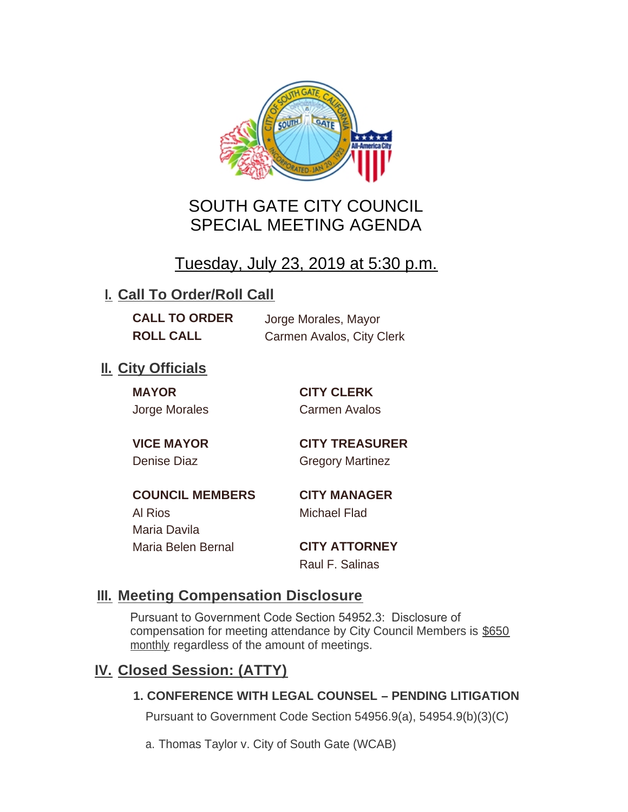

# SOUTH GATE CITY COUNCIL SPECIAL MEETING AGENDA

Tuesday, July 23, 2019 at 5:30 p.m.

## **I. Call To Order/Roll Call**

**CALL TO ORDER** Jorge Morales, Mayor **ROLL CALL** Carmen Avalos, City Clerk

## **II.** City Officials

**MAYOR CITY CLERK**

Jorge Morales Carmen Avalos

**VICE MAYOR CITY TREASURER** Denise Diaz Gregory Martinez

**COUNCIL MEMBERS CITY MANAGER** Al Rios Michael Flad Maria Davila Maria Belen Bernal **CITY ATTORNEY**

Raul F. Salinas

### **Meeting Compensation Disclosure III.**

Pursuant to Government Code Section 54952.3: Disclosure of compensation for meeting attendance by City Council Members is \$650 monthly regardless of the amount of meetings.

## **Closed Session: (ATTY) IV.**

#### **1. CONFERENCE WITH LEGAL COUNSEL – PENDING LITIGATION**

Pursuant to Government Code Section 54956.9(a), 54954.9(b)(3)(C)

a. Thomas Taylor v. City of South Gate (WCAB)